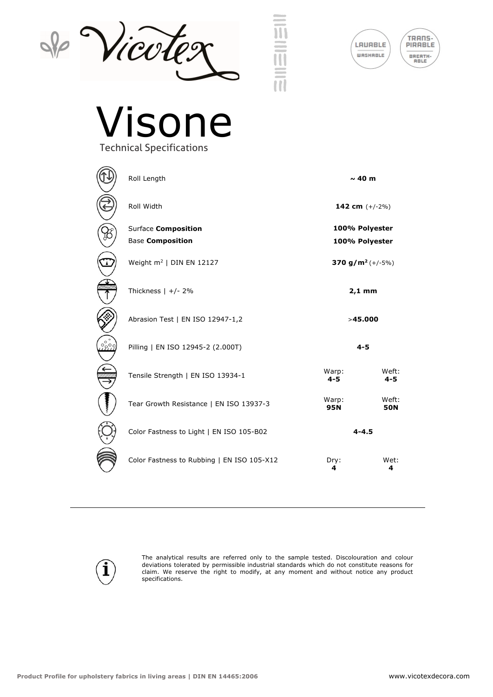







## Visone Technical Specifications

| $\circledR$                                                                                                                                                                                                                                                                                                                            | R            |
|----------------------------------------------------------------------------------------------------------------------------------------------------------------------------------------------------------------------------------------------------------------------------------------------------------------------------------------|--------------|
| $\circled{\textcircled{\small{2}}}$                                                                                                                                                                                                                                                                                                    | R            |
| $\circledR$                                                                                                                                                                                                                                                                                                                            | s<br>B       |
| $\bigcirc$                                                                                                                                                                                                                                                                                                                             | V            |
| $\begin{picture}(120,15) \put(15,15){\line(1,0){155}} \put(15,15){\line(1,0){155}} \put(15,15){\line(1,0){155}} \put(15,15){\line(1,0){155}} \put(15,15){\line(1,0){155}} \put(15,15){\line(1,0){155}} \put(15,15){\line(1,0){155}} \put(15,15){\line(1,0){155}} \put(15,15){\line(1,0){155}} \put(15,15){\line(1,0){155}} \put(15,15$ | $\mathsf{T}$ |
| $\circledS$                                                                                                                                                                                                                                                                                                                            |              |
| ٢                                                                                                                                                                                                                                                                                                                                      | P            |
| $\left(\begin{matrix} \frac{1}{2} \\ \frac{1}{2} \\ \frac{1}{2} \end{matrix}\right)$                                                                                                                                                                                                                                                   | $\mathsf{T}$ |
| $\left(\begin{array}{c}\n\downarrow \\ \downarrow \\ \downarrow\n\end{array}\right)$                                                                                                                                                                                                                                                   |              |
| $\langle \bigcirc \rangle$                                                                                                                                                                                                                                                                                                             | $\mathsf{C}$ |
| Ħ                                                                                                                                                                                                                                                                                                                                      | C            |

| Roll Length                                | $\sim$ 40 m                    |                     |
|--------------------------------------------|--------------------------------|---------------------|
| Roll Width                                 | 142 cm $(+/-2%)$               |                     |
| <b>Surface Composition</b>                 | 100% Polyester                 |                     |
| <b>Base Composition</b>                    | 100% Polyester                 |                     |
| Weight $m^2$   DIN EN 12127                | 370 g/m <sup>2</sup> $(+/-5%)$ |                     |
| Thickness $  +/- 2\%$                      | $2,1$ mm                       |                     |
| Abrasion Test   EN ISO 12947-1,2           | >45.000                        |                     |
| Pilling   EN ISO 12945-2 (2.000T)          | $4 - 5$                        |                     |
| Tensile Strength   EN ISO 13934-1          | Warp:<br>$4 - 5$               | Weft:<br>$4 - 5$    |
| Tear Growth Resistance   EN ISO 13937-3    | Warp:<br><b>95N</b>            | Weft:<br><b>50N</b> |
| Color Fastness to Light   EN ISO 105-B02   | $4 - 4.5$                      |                     |
| Color Fastness to Rubbing   EN ISO 105-X12 | Dry:<br>4                      | Wet:<br>4           |



The analytical results are referred only to the sample tested. Discolouration and colour deviations tolerated by permissible industrial standards which do not constitute reasons for claim. We reserve the right to modify, at any moment and without notice any product specifications.